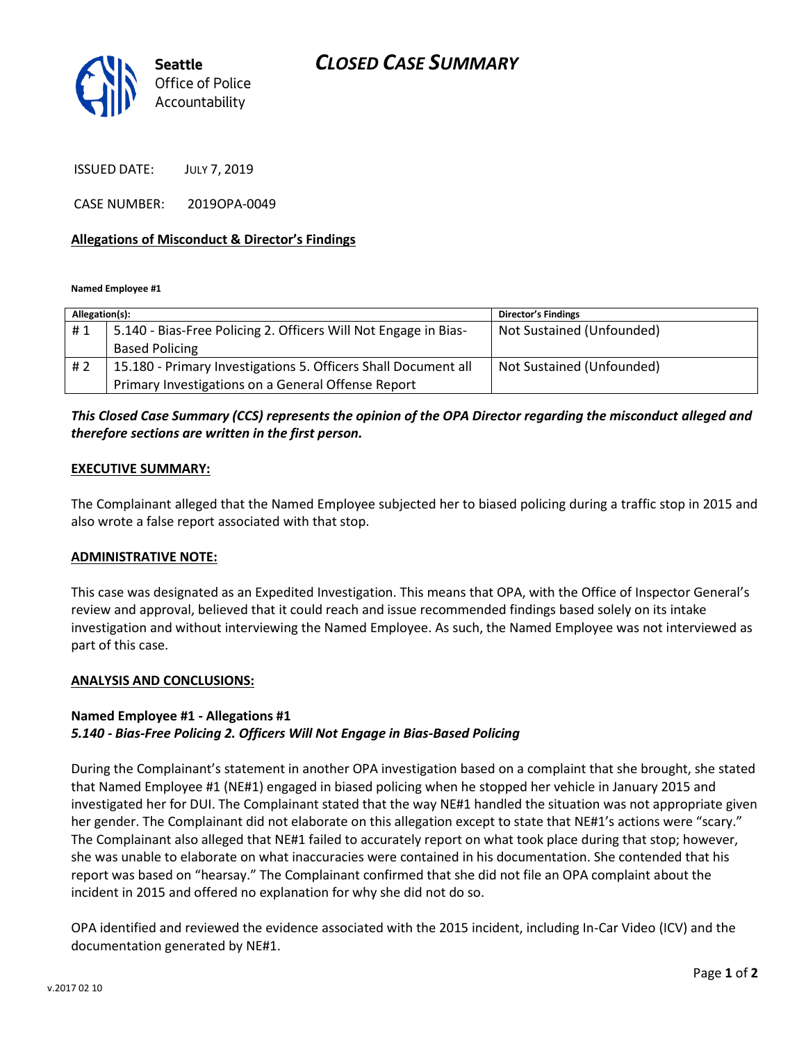

ISSUED DATE: JULY 7, 2019

CASE NUMBER: 2019OPA-0049

### **Allegations of Misconduct & Director's Findings**

**Named Employee #1**

| Allegation(s): |                                                                 | Director's Findings       |
|----------------|-----------------------------------------------------------------|---------------------------|
| #1             | 5.140 - Bias-Free Policing 2. Officers Will Not Engage in Bias- | Not Sustained (Unfounded) |
|                | <b>Based Policing</b>                                           |                           |
| #2             | 15.180 - Primary Investigations 5. Officers Shall Document all  | Not Sustained (Unfounded) |
|                | Primary Investigations on a General Offense Report              |                           |

# *This Closed Case Summary (CCS) represents the opinion of the OPA Director regarding the misconduct alleged and therefore sections are written in the first person.*

### **EXECUTIVE SUMMARY:**

The Complainant alleged that the Named Employee subjected her to biased policing during a traffic stop in 2015 and also wrote a false report associated with that stop.

### **ADMINISTRATIVE NOTE:**

This case was designated as an Expedited Investigation. This means that OPA, with the Office of Inspector General's review and approval, believed that it could reach and issue recommended findings based solely on its intake investigation and without interviewing the Named Employee. As such, the Named Employee was not interviewed as part of this case.

### **ANALYSIS AND CONCLUSIONS:**

### **Named Employee #1 - Allegations #1** *5.140 - Bias-Free Policing 2. Officers Will Not Engage in Bias-Based Policing*

During the Complainant's statement in another OPA investigation based on a complaint that she brought, she stated that Named Employee #1 (NE#1) engaged in biased policing when he stopped her vehicle in January 2015 and investigated her for DUI. The Complainant stated that the way NE#1 handled the situation was not appropriate given her gender. The Complainant did not elaborate on this allegation except to state that NE#1's actions were "scary." The Complainant also alleged that NE#1 failed to accurately report on what took place during that stop; however, she was unable to elaborate on what inaccuracies were contained in his documentation. She contended that his report was based on "hearsay." The Complainant confirmed that she did not file an OPA complaint about the incident in 2015 and offered no explanation for why she did not do so.

OPA identified and reviewed the evidence associated with the 2015 incident, including In-Car Video (ICV) and the documentation generated by NE#1.